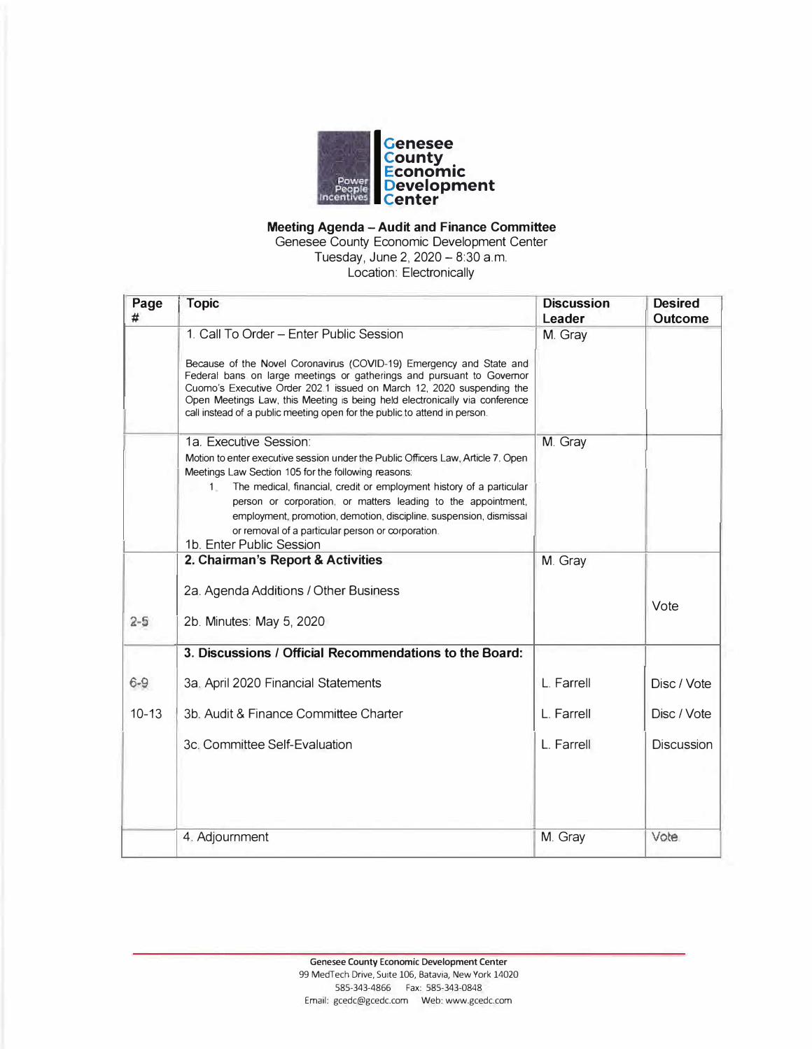

### **Meeting Agenda - Audit and Finance Committee**

Genesee County Economic Development Center Tuesday, June 2,  $2020 - 8:30$  a.m.

Location: Electronically

| Page<br># | <b>Topic</b>                                                                                                                                                                                                                                                                                                                                                                                                                                                               | <b>Discussion</b><br>Leader | <b>Desired</b><br><b>Outcome</b> |
|-----------|----------------------------------------------------------------------------------------------------------------------------------------------------------------------------------------------------------------------------------------------------------------------------------------------------------------------------------------------------------------------------------------------------------------------------------------------------------------------------|-----------------------------|----------------------------------|
|           | 1. Call To Order - Enter Public Session                                                                                                                                                                                                                                                                                                                                                                                                                                    | M. Gray                     |                                  |
|           | Because of the Novel Coronavirus (COVID-19) Emergency and State and<br>Federal bans on large meetings or gatherings and pursuant to Governor<br>Cuomo's Executive Order 202.1 issued on March 12, 2020 suspending the<br>Open Meetings Law, this Meeting is being held electronically via conference<br>call instead of a public meeting open for the public to attend in person.                                                                                          |                             |                                  |
|           | 1a. Executive Session:<br>Motion to enter executive session under the Public Officers Law, Article 7, Open<br>Meetings Law Section 105 for the following reasons:<br>The medical, financial, credit or employment history of a particular<br>$1 -$<br>person or corporation, or matters leading to the appointment,<br>employment, promotion, demotion, discipline, suspension, dismissal<br>or removal of a particular person or corporation.<br>1b. Enter Public Session | M. Gray                     |                                  |
|           | 2. Chairman's Report & Activities                                                                                                                                                                                                                                                                                                                                                                                                                                          | M. Gray                     |                                  |
| $2 - 5$   | 2a. Agenda Additions / Other Business<br>2b. Minutes: May 5, 2020                                                                                                                                                                                                                                                                                                                                                                                                          |                             | Vote                             |
|           | 3. Discussions / Official Recommendations to the Board:                                                                                                                                                                                                                                                                                                                                                                                                                    |                             |                                  |
| $6 - 9$   | 3a. April 2020 Financial Statements                                                                                                                                                                                                                                                                                                                                                                                                                                        | L. Farrell                  | Disc / Vote                      |
| $10 - 13$ | 3b. Audit & Finance Committee Charter                                                                                                                                                                                                                                                                                                                                                                                                                                      | L. Farrell                  | Disc / Vote                      |
|           | 3c. Committee Self-Evaluation                                                                                                                                                                                                                                                                                                                                                                                                                                              | L. Farrell                  | <b>Discussion</b>                |
|           | 4. Adjournment                                                                                                                                                                                                                                                                                                                                                                                                                                                             | M. Gray                     | Vote                             |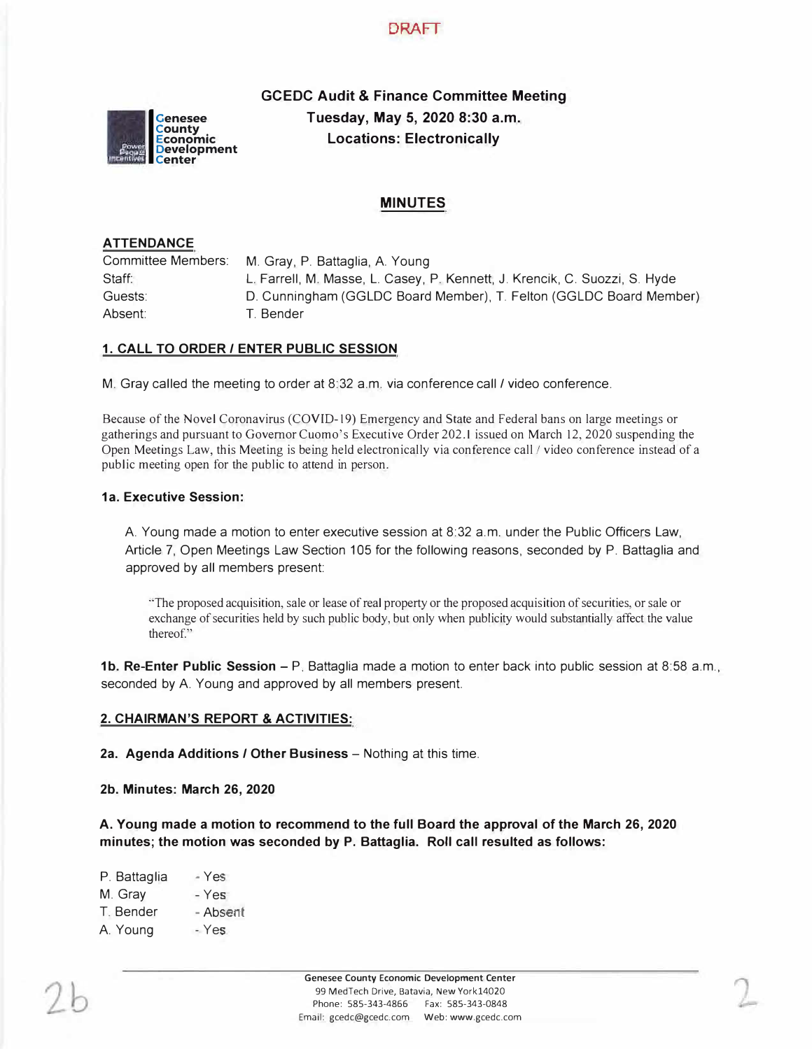# **DRAFT**



**GCEDC Audit & Finance Committee Meeting Tuesday, May 5, 2020 8:30 a.m. Locations: Electronically** 

# **MINUTES**

### **ATTENDANCE**

Committee Members: Staff: Guests: Absent: M. Gray, P. Battaglia, A. Young L. Farrell, M. Masse, L. Casey, P. Kennett, J. Krencik, C. Suozzi, S. Hyde D. Cunningham (GGLDC Board Member), T. Felton (GGLDC Board Member) T. Bender

### **1. CALL TO ORDER/ ENTER PUBLIC SESSION**

M. Gray called the meeting to order at 8:32 a.m. via conference call/ video conference.

Because of the Novel Coronavirus (COVID-19) Emergency and State and Federal bans on large meetings or gatherings and pursuant to Governor Cuomo's Executive Order 202.1 issued on March 12, 2020 suspending the Open Meetings Law, this Meeting is being held electronically via conference call *I* video conference instead of a public meeting open for the public to attend in person.

### **1a. Executive Session:**

A. Young made a motion to enter executive session at 8:32 a.m. under the Public Officers Law, Article 7, Open Meetings Law Section 105 for the following reasons, seconded by P. Battaglia and approved by all members present:

"The proposed acquisition, sale or lease of real property or the proposed acquisition of securities, or sale or exchange of securities held by such public body, but only when publicity would substantially affect the value thereof."

**1b. Re-Enter Public Session - P.** Battaglia made a motion to enter back into public session at 8:58 a.m., seconded by A. Young and approved by all members present.

### **2. CHAIRMAN'S REPORT & ACTIVITIES:**

**2a. Agenda Additions / Other Business** – Nothing at this time.

**2b. Minutes: March 26, 2020** 

**A. Young made a motion to recommend to the full Board the approval of the March 26, 2020 minutes; the motion was seconded by P. Battaglia. Roll call resulted as follows:**

| - Yes    |
|----------|
| - Yes    |
| - Absent |
| - Yes    |
|          |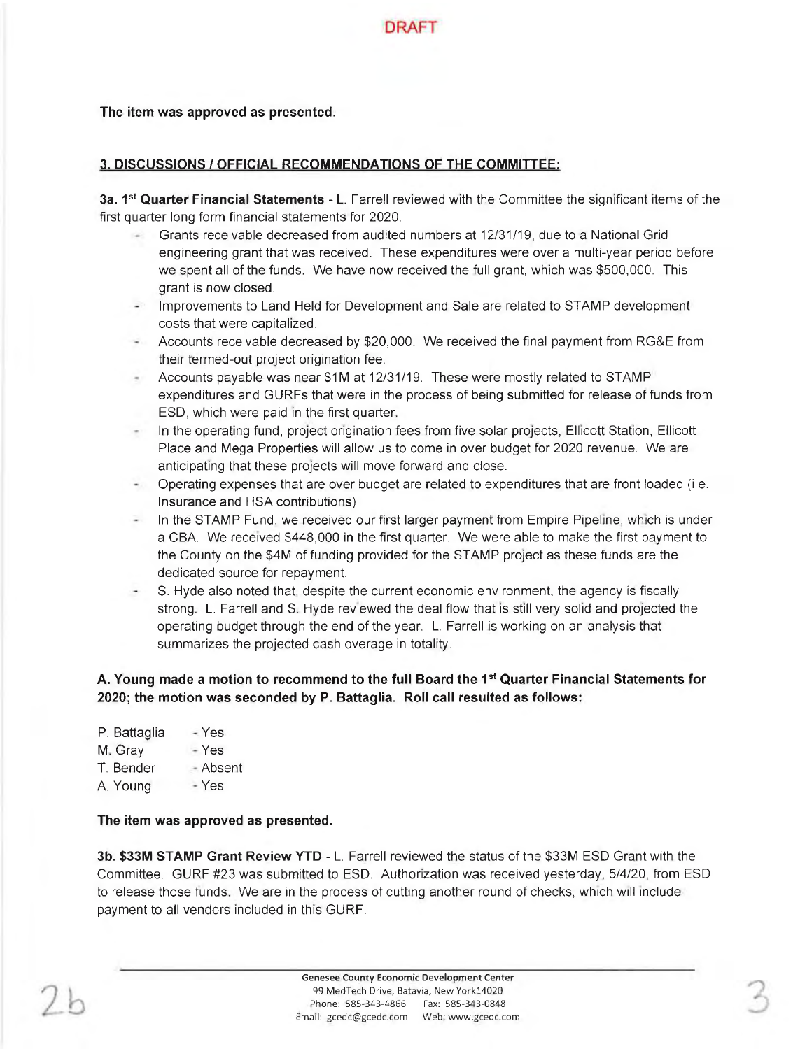

The item was approved as presented.

# 3. DISCUSSIONS / OFFICIAL RECOMMENDATIONS OF THE COMMITTEE:

3a. 1<sup>st</sup> Quarter Financial Statements - L. Farrell reviewed with the Committee the significant items of the first quarter long form financial statements for 2020.

- Grants receivable decreased from audited numbers at 12/31/19, due to a National Grid engineering grant that was received. These expenditures were over a multi-year period before we spent all of the funds. We have now received the full grant, which was \$500,000. This grant is now closed.
- Improvements to Land Held for Development and Sale are related to STAMP development costs that were capitalized.
- Accounts receivable decreased by \$20,000. We received the final payment from RG&E from their termed-out project origination fee.
- Accounts payable was near \$1M at 12/31/19. These were mostly related to STAMP expenditures and GURFs that were in the process of being submitted for release of funds from ESD, which were paid in the first quarter.
- In the operating fund, project origination fees from five solar projects, Ellicott Station, Ellicott Place and Mega Properties will allow us to come in over budget for 2020 revenue. We are anticipating that these projects will move forward and close.
- Operating expenses that are over budget are related to expenditures that are front loaded (i.e. Insurance and HSA contributions).
- In the STAMP Fund, we received our first larger payment from Empire Pipeline, which is under a CBA. We received \$448,000 in the first quarter. We were able to make the first payment to the County on the \$4M of funding provided for the STAMP project as these funds are the dedicated source for repayment.
- S. Hyde also noted that, despite the current economic environment, the agency is fiscally strong. L. Farrell and S. Hyde reviewed the deal flow that is still very solid and projected the operating budget through the end of the year. L. Farrell is working on an analysis that summarizes the projected cash overage in totality.

# A. Young made a motion to recommend to the full Board the 1<sup>st</sup> Quarter Financial Statements for 2020; the motion was seconded by P. Battaglia. Roll call resulted as follows:

| P. Battaglia | - Yes  |
|--------------|--------|
| M. Gray      | - Yes  |
| T. Bender    | Absent |
| A. Young     | - Yes  |
|              |        |

## The item was approved as presented.

3b. \$33M STAMP Grant Review YTD - L. Farrell reviewed the status of the \$33M ESD Grant with the Committee. GURF #23 was submitted to ESD. Authorization was received yesterday, 5/4/20, from ESD to release those funds. We are in the process of cutting another round of checks, which will include payment to all vendors included in this GURF.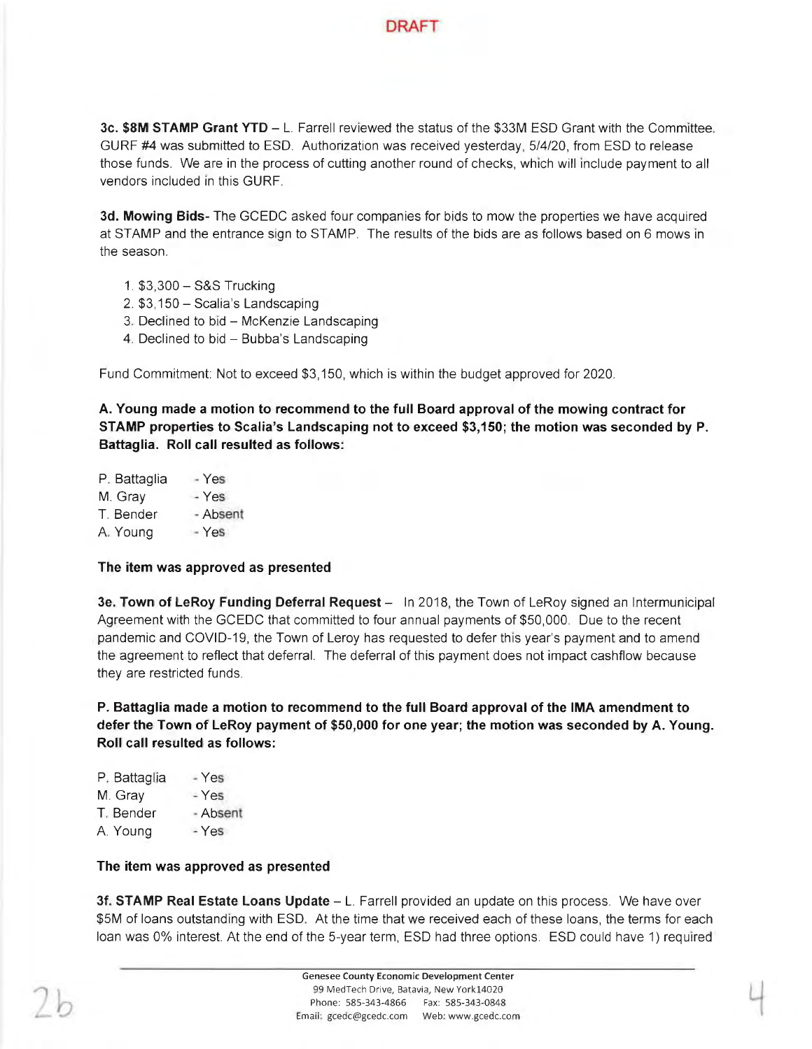

3c. \$8M STAMP Grant YTD - L. Farrell reviewed the status of the \$33M ESD Grant with the Committee. GURF #4 was submitted to ESD. Authorization was received yesterday, 5/4/20, from ESD to release those funds. We are in the process of cutting another round of checks, which will include payment to all vendors included in this GURF.

3d. Mowing Bids- The GCEDC asked four companies for bids to mow the properties we have acquired at STAMP and the entrance sign to STAMP. The results of the bids are as follows based on 6 mows in the season.

- 1. \$3,300 S&S Trucking
- 2. \$3,150 Scalia's Landscaping
- 3. Declined to bid McKenzie Landscaping
- 4. Declined to bid Bubba's Landscaping

Fund Commitment: Not to exceed \$3,150, which is within the budget approved for 2020.

A. Young made a motion to recommend to the full Board approval of the mowing contract for STAMP properties to Scalia's Landscaping not to exceed \$3,150; the motion was seconded by P. Battaglia. Roll call resulted as follows:

| P. Battaglia | Yes.     |
|--------------|----------|
| M. Gray      | - Yes    |
| T. Bender    | - Absent |
| A. Young     | $-$ Yes  |

### The item was approved as presented

3e. Town of LeRoy Funding Deferral Request - In 2018, the Town of LeRoy signed an Intermunicipal Agreement with the GCEDC that committed to four annual payments of \$50,000. Due to the recent pandemic and COVID-19, the Town of Leroy has requested to defer this year's payment and to amend the agreement to reflect that deferral. The deferral of this payment does not impact cashflow because they are restricted funds.

P. Battaglia made a motion to recommend to the full Board approval of the IMA amendment to defer the Town of LeRoy payment of \$50,000 for one year; the motion was seconded by A. Young. Roll call resulted as follows:

| P. Battaglia | Yes      |
|--------------|----------|
| M. Gray      | - Yes    |
| T. Bender    | - Absent |
| A. Young     | $-$ Yes  |
|              |          |

### The item was approved as presented

3f. STAMP Real Estate Loans Update - L. Farrell provided an update on this process. We have over \$5M of loans outstanding with ESD. At the time that we received each of these loans, the terms for each loan was 0% interest. At the end of the 5-year term, ESD had three options. ESD could have 1) required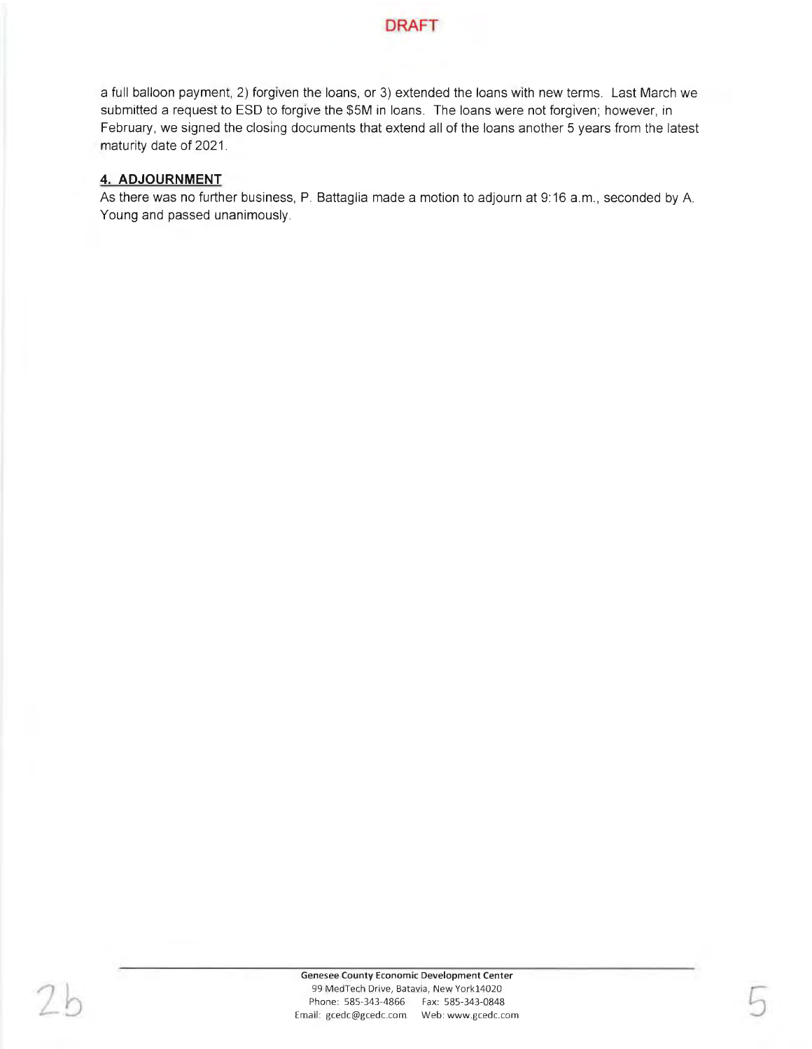

a full balloon payment, 2) forgiven the loans, or 3) extended the loans with new terms. Last March we submitted a request to ESD to forgive the \$5M in loans. The loans were not forgiven; however, in February, we signed the closing documents that extend all of the loans another 5 years from the latest maturity date of 2021.

### 4. ADJOURNMENT

As there was no further business, P. Battaglia made a motion to adjourn at 9:16 a.m., seconded by A. Young and passed unanimously.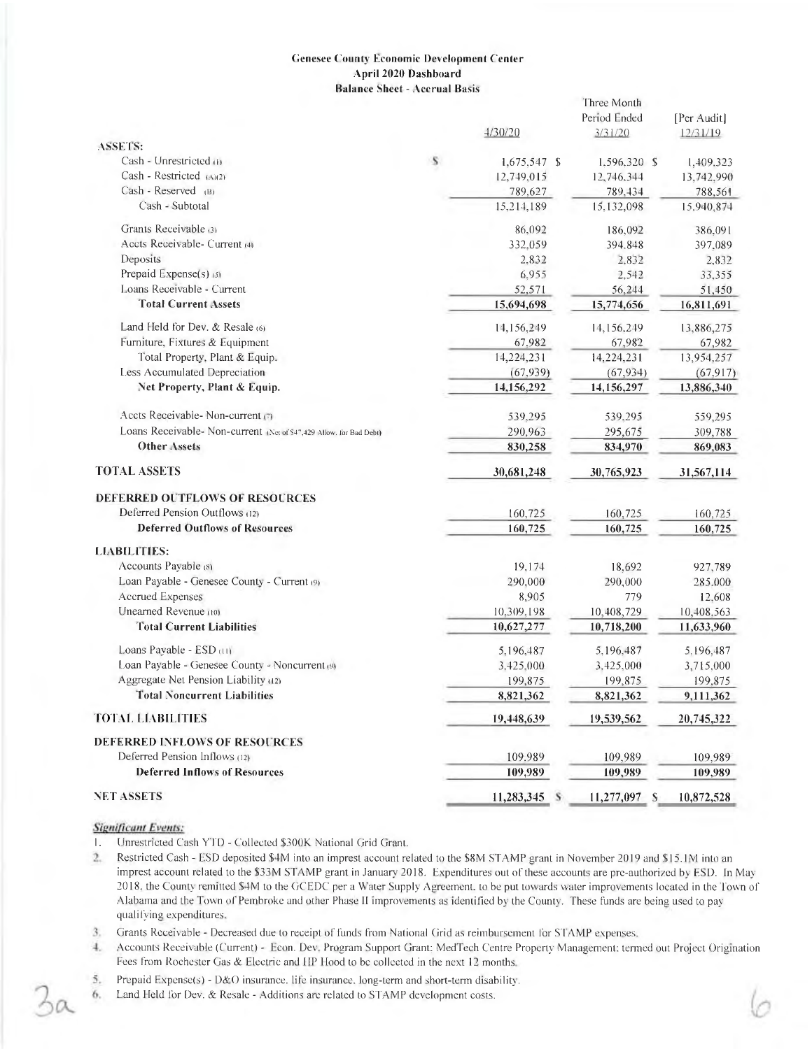### **Genesee County Economic Development Center** April 2020 Dashboard **Balance Sheet - Accrual Basis**

|                                                                     |   | 4/30/20        | Three Month<br>Period Ended<br>3/31/20 | [Per Audit]<br>12/31/19 |
|---------------------------------------------------------------------|---|----------------|----------------------------------------|-------------------------|
| ASSETS:                                                             |   |                |                                        |                         |
| Cash - Unrestricted (1)                                             | s | $1,675,547$ \$ | $1.596.320$ \$                         | 1,409.323               |
| Cash - Restricted (A)(2)                                            |   | 12,749,015     | 12,746.344                             | 13,742,990              |
| $Cash - Research$ <sub>(B)</sub>                                    |   | 789,627        | 789,434                                | 788.561                 |
| Cash - Subtotal                                                     |   | 15,214,189     | 15,132,098                             | 15.940,874              |
| Grants Receivable (3)                                               |   | 86,092         | 186,092                                | 386,091                 |
| Accts Receivable- Current (4)                                       |   | 332,059        | 394.848                                | 397,089                 |
| Deposits                                                            |   | 2.832          | 2.832                                  | 2,832                   |
| Prepaid Expense(s) (5)                                              |   | 6,955          | 2,542                                  | 33,355                  |
| Loans Receivable - Current                                          |   | 52.571         | 56,244                                 | 51,450                  |
| <b>Total Current Assets</b>                                         |   | 15,694,698     | 15,774,656                             | 16,811,691              |
| Land Held for Dev. & Resale (6)                                     |   | 14,156,249     | 14,156,249                             | 13,886,275              |
| Furniture, Fixtures & Equipment                                     |   | 67,982         | 67,982                                 | 67,982                  |
| Total Property, Plant & Equip.                                      |   | 14,224,231     | 14,224,231                             | 13,954,257              |
| Less Accumulated Depreciation                                       |   | (67, 939)      | (67, 934)                              | (67, 917)               |
| Net Property, Plant & Equip.                                        |   | 14,156,292     | 14,156,297                             | 13,886,340              |
| Accts Receivable- Non-current (7)                                   |   | 539,295        | 539,295                                | 559,295                 |
| Loans Receivable- Non-current (Net of \$47,429 Allow, for Bad Debt) |   | 290,963        | 295,675                                | 309,788                 |
| <b>Other Assets</b>                                                 |   | 830,258        | 834,970                                | 869,083                 |
| <b>TOTAL ASSETS</b>                                                 |   | 30,681,248     | 30,765,923                             | 31,567,114              |
| <b>DEFERRED OUTFLOWS OF RESOURCES</b>                               |   |                |                                        |                         |
| Deferred Pension Outflows (12)                                      |   | 160,725        | 160,725                                | 160,725                 |
| <b>Deferred Outflows of Resources</b>                               |   | 160,725        | 160,725                                | 160,725                 |
| <b>LIABILITIES:</b>                                                 |   |                |                                        |                         |
| Accounts Payable (8)                                                |   | 19,174         | 18,692                                 | 927,789                 |
| Loan Payable - Genesee County - Current (9)                         |   | 290,000        | 290,000                                | 285.000                 |
| <b>Accrued Expenses</b>                                             |   | 8,905          | 779                                    | 12,608                  |
| Unearned Revenue (10)                                               |   | 10,309,198     | 10,408,729                             | 10,408,563              |
| <b>Total Current Liabilities</b>                                    |   | 10,627,277     | 10,718,200                             | 11,633,960              |
| Loans Payable - ESD (11)                                            |   | 5,196,487      | 5.196,487                              | 5.196,487               |
| Loan Payable - Genesee County - Noncurrent (9)                      |   | 3,425,000      | 3.425,000                              | 3,715,000               |
| Aggregate Net Pension Liability (12)                                |   | 199.875        | 199,875                                | 199.875                 |
| <b>Total Noncurrent Liabilities</b>                                 |   | 8,821,362      | 8,821,362                              | 9,111,362               |
| <b>TOTAL LIABILITIES</b>                                            |   | 19,448,639     | 19,539,562                             | 20,745,322              |
| <b>DEFERRED INFLOWS OF RESOURCES</b>                                |   |                |                                        |                         |
| Deferred Pension Inflows (12)                                       |   | 109.989        | 109,989                                | 109,989                 |
| <b>Deferred Inflows of Resources</b>                                |   | 109,989        | 109,989                                | 109,989                 |
| <b>NET ASSETS</b>                                                   |   | 11,283,345 \$  | 11,277,097 S                           | 10,872,528              |

### **Significant Events:**

- Unrestricted Cash YTD Collected \$300K National Grid Grant.  $\mathbf{1}$ .
- Restricted Cash ESD deposited \$4M into an imprest account related to the \$8M STAMP grant in November 2019 and \$15.1M into an  $2.$ imprest account related to the \$33M STAMP grant in January 2018. Expenditures out of these accounts are pre-authorized by ESD. In May 2018, the County remitted \$4M to the GCEDC per a Water Supply Agreement. to be put towards water improvements located in the Town of Alabama and the Town of Pembroke and other Phase II improvements as identified by the County. These funds are being used to pay qualifying expenditures.
- Grants Receivable Decreased due to receipt of funds from National Grid as reimbursement for STAMP expenses, 3.
- Accounts Receivable (Current) Econ. Dev, Program Support Grant: MedTech Centre Property Management: termed out Project Origination  $4.$ Fees from Rochester Gas & Electric and HP Hood to be collected in the next 12 months.
- 5. Prepaid Expense(s) - D&O insurance. life insurance. long-term and short-term disability.
- Land Held for Dev. & Resale Additions are related to STAMP development costs. 6.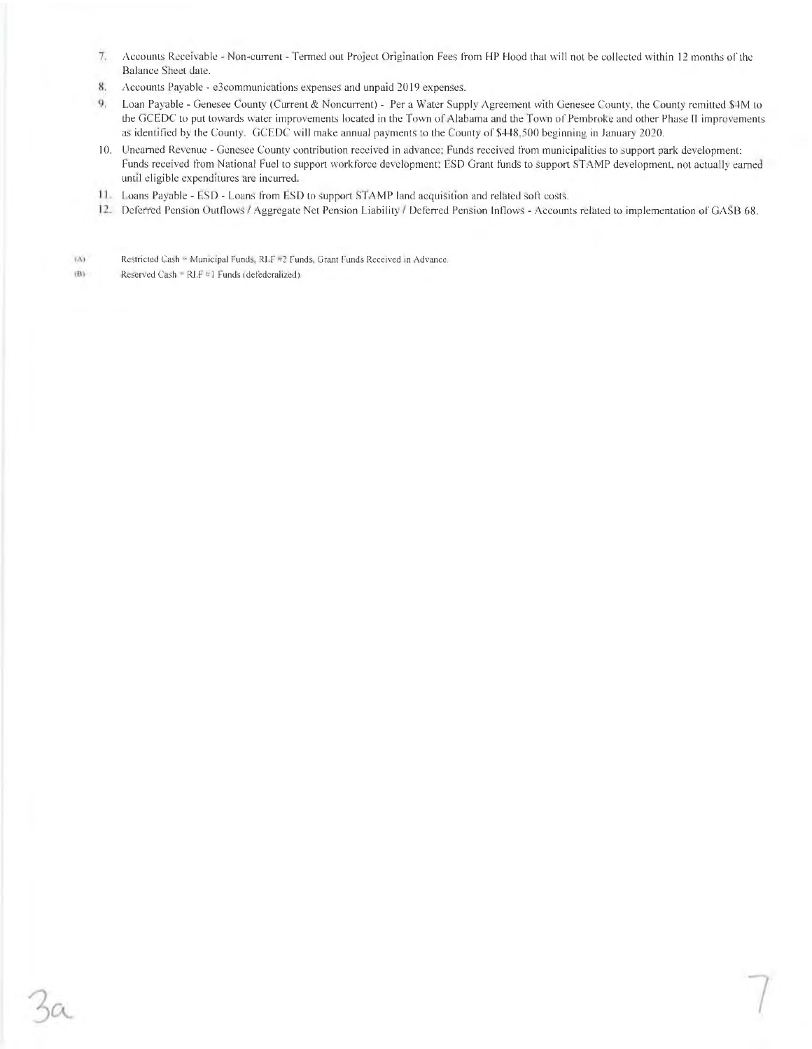- $\mathcal{T}_{\epsilon}$ Accounts Receivable - Non-current - Termed out Project Origination Fees from HP Hood that will not be collected within 12 months of the Balance Sheet date.
- Accounts Payable e3communications expenses and unpaid 2019 expenses. 8.
- $\mathbf{Q}_i$ Loan Payable - Genesee County (Current & Noncurrent) - Per a Water Supply Agreement with Genesee County, the County remitted \$4M to the GCEDC to put towards water improvements located in the Town of Alabama and the Town of Pembroke and other Phase II improvements as identified by the County. GCEDC will make annual payments to the County of \$448,500 beginning in January 2020.
- 10. Unearned Revenue Genesee County contribution received in advance; Funds received from municipalities to support park development; Funds received from National Fuel to support workforce development; ESD Grant funds to support STAMP development, not actually earned until eligible expenditures are incurred.
- 11. Loans Payable ESD Loans from ESD to support STAMP land acquisition and related soft costs.
- 12. Deferred Pension Outflows / Aggregate Net Pension Liability / Deferred Pension Inflows Accounts related to implementation of GASB 68.

Restricted Cash = Municipal Funds, RLF #2 Funds, Grant Funds Received in Advance.  $(X)$ 

Reserved Cash =  $RLF = 1$  Funds (defederalized). m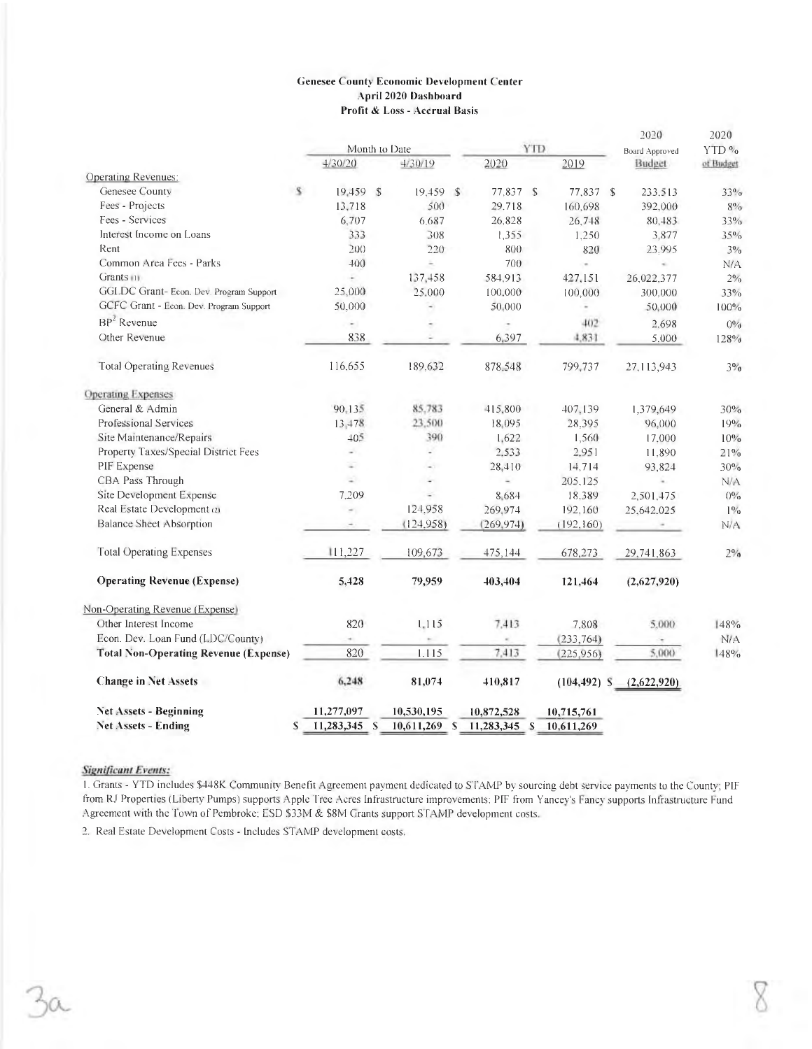### **Genesee County Economic Development Center** April 2020 Dashboard Profit & Loss - Accrual Basis

|                                              |               |                          |              |                | 2020           | 2020      |
|----------------------------------------------|---------------|--------------------------|--------------|----------------|----------------|-----------|
|                                              |               | Month to Date            | <b>YTD</b>   |                | Board Approved | YTD %     |
|                                              | 4/30/20       | 4/30/19                  | 2020         | 2019           | Budget         | of Budget |
| Operating Revenues:                          |               |                          |              |                |                |           |
| Genesee County                               | s<br>19.459 S | 19.459S                  | 77.837 \$    | 77,837 \$      | 233.513        | 33%       |
| Fees - Projects                              | 13,718        | 500                      | 29,718       | 160,698        | 392,000        | $8\%$     |
| Fees - Services                              | 6,707         | 6,687                    | 26,828       | 26.748         | 80,483         | 33%       |
| Interest Income on Loans                     | 333           | 308                      | 1,355        | 1.250          | 3,877          | $35\%$    |
| Rent                                         | 200           | 220                      | 800          | 820            | 23.995         | $3\%$     |
| Common Area Fees - Parks<br>Grants (1)       | 400           | á,                       | 700          | $\sim$         | ÷.             | N/A       |
|                                              |               | 137,458                  | 584,913      | 427,151        | 26,022,377     | 2%        |
| GGLDC Grant- Econ. Dev. Program Support      | 25,000        | 25,000                   | 100,000      | 100,000        | 300.000        | 33%       |
| GCFC Grant - Econ. Dev. Program Support      | 50,000        | $\overline{\phantom{a}}$ | 50.000       |                | 50,000         | 100%      |
| $BP2$ Revenue                                | ۰             |                          |              | 402            | 2,698          | $0\%$     |
| Other Revenue                                | 838           |                          | 6,397        | 4,831          | 5.000          | 128%      |
| <b>Total Operating Revenues</b>              | 116,655       | 189,632                  | 878,548      | 799,737        | 27.113,943     | 3%        |
| <b>Operating Expenses</b>                    |               |                          |              |                |                |           |
| General & Admin                              | 90,135        | 85.783                   | 415,800      | 407,139        | 1,379,649      | 30%       |
| <b>Professional Services</b>                 | 13,478        | 23,500                   | 18,095       | 28.395         | 96,000         | 19%       |
| Site Maintenance/Repairs                     | 405           | 390                      | 1.622        | 1,560          | 17.000         | 10%       |
| Property Taxes/Special District Fees         | a,            | u                        | 2,533        | 2,951          | 11.890         | 21%       |
| PIF Expense                                  | S.            | $\sim$                   | 28,410       | 14.714         | 93,824         | 30%       |
| CBA Pass Through                             | ÷.            | ٠                        | c            | 205,125        | c              | N/A       |
| Site Development Expense                     | 7.209         | g.                       | 8,684        | 18,389         | 2,501.475      | $0\%$     |
| Real Estate Development (2)                  | ÷.            | 124.958                  | 269,974      | 192,160        | 25,642,025     | $1\%$     |
| <b>Balance Sheet Absorption</b>              | ۰             | (124, 958)               | (269, 974)   | (192, 160)     |                | N/A       |
| <b>Total Operating Expenses</b>              | 111,227       | 109,673                  | 475,144      | 678,273        | 29,741,863     | $2\%$     |
| <b>Operating Revenue (Expense)</b>           | 5,428         | 79,959                   | 403,404      | 121,464        | (2,627,920)    |           |
| Non-Operating Revenue (Expense)              |               |                          |              |                |                |           |
| Other Interest Income                        | 820           | 1,115                    | 7.413        | 7,808          | 5,000          | 148%      |
| Econ. Dev. Loan Fund (LDC/Countv)            |               |                          |              | (233, 764)     |                | N/A       |
| <b>Total Non-Operating Revenue (Expense)</b> | 820           | 1.115                    | 7.413        | (225, 956)     | 5.000          | 148%      |
| <b>Change in Net Assets</b>                  | 6,248         | 81,074                   | 410,817      | $(104, 492)$ S | (2,622,920)    |           |
| <b>Net Assets - Beginning</b>                | 11,277,097    | 10,530,195               | 10,872,528   | 10,715,761     |                |           |
| <b>Net Assets - Ending</b><br>S              | 11,283,345 S  | $10,611,269$ S           | 11,283,345 S | 10,611,269     |                |           |

### **Significant Events:**

1. Grants - YTD includes \$448K Community Benefit Agreement payment dedicated to STAMP by sourcing debt service payments to the County; PIF from RJ Properties (Liberty Pumps) supports Apple Tree Acres Infrastructure improvements: PIF from Yancey's Fancy supports Infrastructure Fund Agreement with the Town of Pembroke; ESD \$33M & \$8M Grants support STAMP development costs.

2. Real Estate Development Costs - Includes STAMP development costs.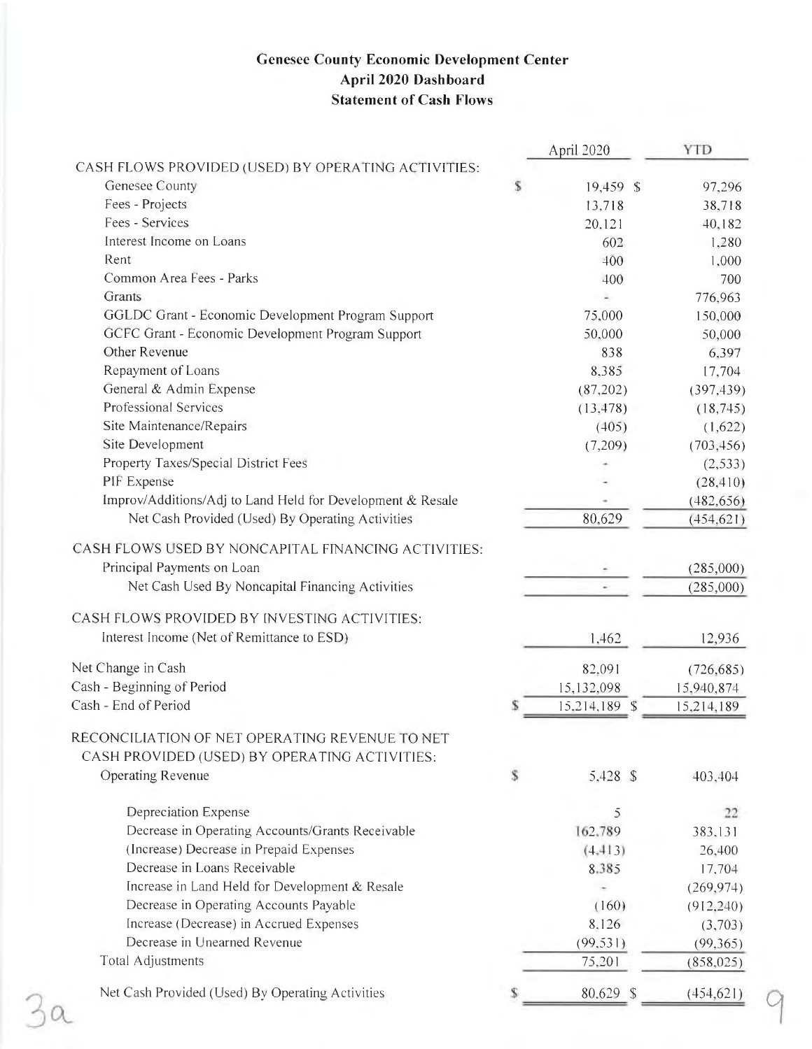# **Genesee County Economic Development Center** April 2020 Dashboard **Statement of Cash Flows**

|                                                            | April 2020      | <b>YTD</b> |
|------------------------------------------------------------|-----------------|------------|
| CASH FLOWS PROVIDED (USED) BY OPERATING ACTIVITIES:        |                 |            |
| Genesee County                                             | \$<br>19,459 \$ | 97,296     |
| Fees - Projects                                            | 13,718          | 38,718     |
| Fees - Services                                            | 20,121          | 40,182     |
| Interest Income on Loans                                   | 602             | 1,280      |
| Rent                                                       | 400             | 1,000      |
| Common Area Fees - Parks                                   | 400             | 700        |
| Grants                                                     |                 | 776,963    |
| GGLDC Grant - Economic Development Program Support         | 75,000          | 150,000    |
| GCFC Grant - Economic Development Program Support          | 50,000          | 50,000     |
| Other Revenue                                              | 838             | 6,397      |
| Repayment of Loans                                         | 8.385           | 17,704     |
| General & Admin Expense                                    | (87,202)        | (397, 439) |
| <b>Professional Services</b>                               | (13, 478)       | (18, 745)  |
| Site Maintenance/Repairs                                   | (405)           | (1,622)    |
| Site Development                                           | (7,209)         | (703, 456) |
| Property Taxes/Special District Fees                       |                 | (2, 533)   |
| PIF Expense                                                |                 | (28, 410)  |
| Improv/Additions/Adj to Land Held for Development & Resale |                 | (482, 656) |
| Net Cash Provided (Used) By Operating Activities           | 80,629          | (454, 621) |
|                                                            |                 |            |
| CASH FLOWS USED BY NONCAPITAL FINANCING ACTIVITIES:        |                 |            |
| Principal Payments on Loan                                 |                 | (285,000)  |
| Net Cash Used By Noncapital Financing Activities           |                 | (285,000)  |
| CASH FLOWS PROVIDED BY INVESTING ACTIVITIES:               |                 |            |
| Interest Income (Net of Remittance to ESD)                 | 1,462           | 12,936     |
| Net Change in Cash                                         | 82,091          | (726, 685) |
| Cash - Beginning of Period                                 | 15,132,098      | 15,940,874 |
| Cash - End of Period                                       | 15,214,189 \$   | 15,214,189 |
| RECONCILIATION OF NET OPERATING REVENUE TO NET             |                 |            |
| CASH PROVIDED (USED) BY OPERATING ACTIVITIES:              |                 |            |
| <b>Operating Revenue</b>                                   | \$<br>5,428 \$  | 403,404    |
|                                                            |                 |            |
| <b>Depreciation Expense</b>                                | 5               | 22         |
| Decrease in Operating Accounts/Grants Receivable           | 162,789         | 383,131    |
| (Increase) Decrease in Prepaid Expenses                    | (4, 413)        | 26,400     |
| Decrease in Loans Receivable                               | 8,385           | 17,704     |
| Increase in Land Held for Development & Resale             |                 | (269, 974) |
| Decrease in Operating Accounts Payable                     | (160)           | (912, 240) |
| Increase (Decrease) in Accrued Expenses                    | 8,126           | (3,703)    |
| Decrease in Unearned Revenue                               | (99, 531)       | (99,365)   |
| <b>Total Adjustments</b>                                   | 75,201          | (858, 025) |
| Net Cash Provided (Used) By Operating Activities           | 80.629 \$       | (454, 621) |

 $\alpha$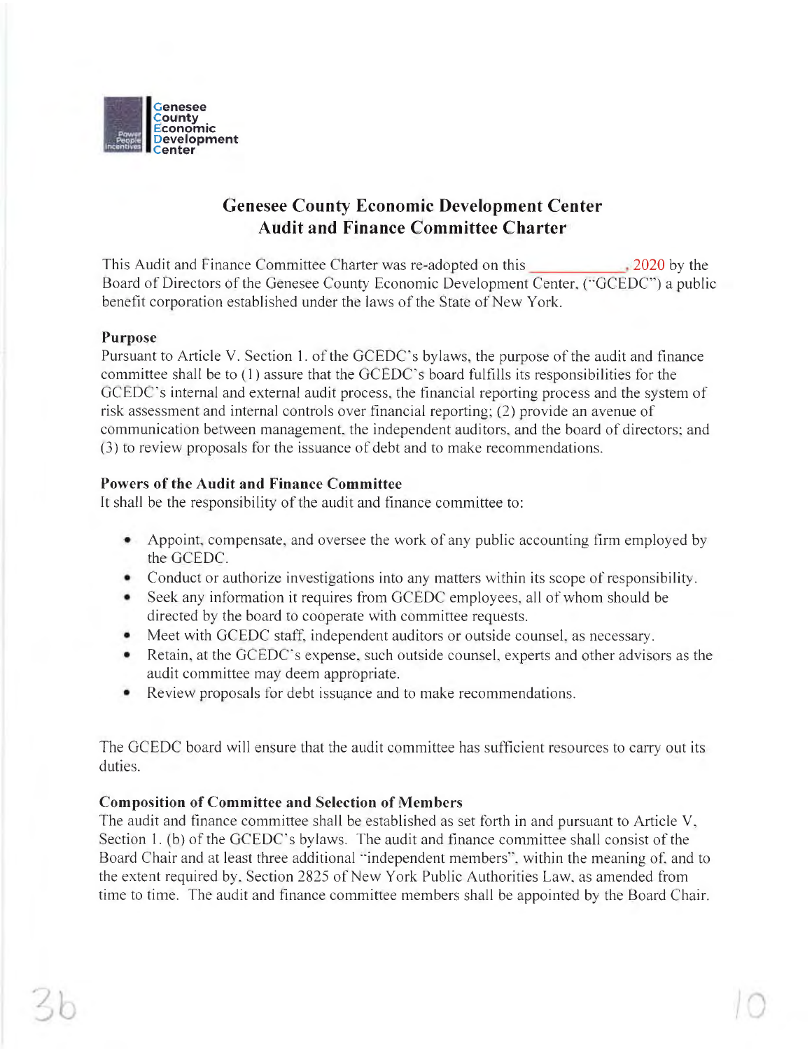

# **Genesee County Economic Development Center Audit and Finance Committee Charter**

This Audit and Finance Committee Charter was re-adopted on this  $.2020$  by the Board of Directors of the Genesee County Economic Development Center, ("GCEDC") a public benefit corporation established under the laws of the State of New York.

# Purpose

Pursuant to Article V. Section 1. of the GCEDC's bylaws, the purpose of the audit and finance committee shall be to (1) assure that the GCEDC's board fulfills its responsibilities for the GCEDC's internal and external audit process, the financial reporting process and the system of risk assessment and internal controls over financial reporting; (2) provide an avenue of communication between management, the independent auditors, and the board of directors; and (3) to review proposals for the issuance of debt and to make recommendations.

# **Powers of the Audit and Finance Committee**

It shall be the responsibility of the audit and finance committee to:

- Appoint, compensate, and oversee the work of any public accounting firm employed by the GCEDC.
- Conduct or authorize investigations into any matters within its scope of responsibility.
- Seek any information it requires from GCEDC employees, all of whom should be directed by the board to cooperate with committee requests.
- Meet with GCEDC staff, independent auditors or outside counsel, as necessary.
- Retain, at the GCEDC's expense, such outside counsel, experts and other advisors as the audit committee may deem appropriate.
- Review proposals for debt issuance and to make recommendations.

The GCEDC board will ensure that the audit committee has sufficient resources to carry out its duties.

# **Composition of Committee and Selection of Members**

The audit and finance committee shall be established as set forth in and pursuant to Article  $V$ , Section 1. (b) of the GCEDC's bylaws. The audit and finance committee shall consist of the Board Chair and at least three additional "independent members", within the meaning of, and to the extent required by, Section 2825 of New York Public Authorities Law, as amended from time to time. The audit and finance committee members shall be appointed by the Board Chair.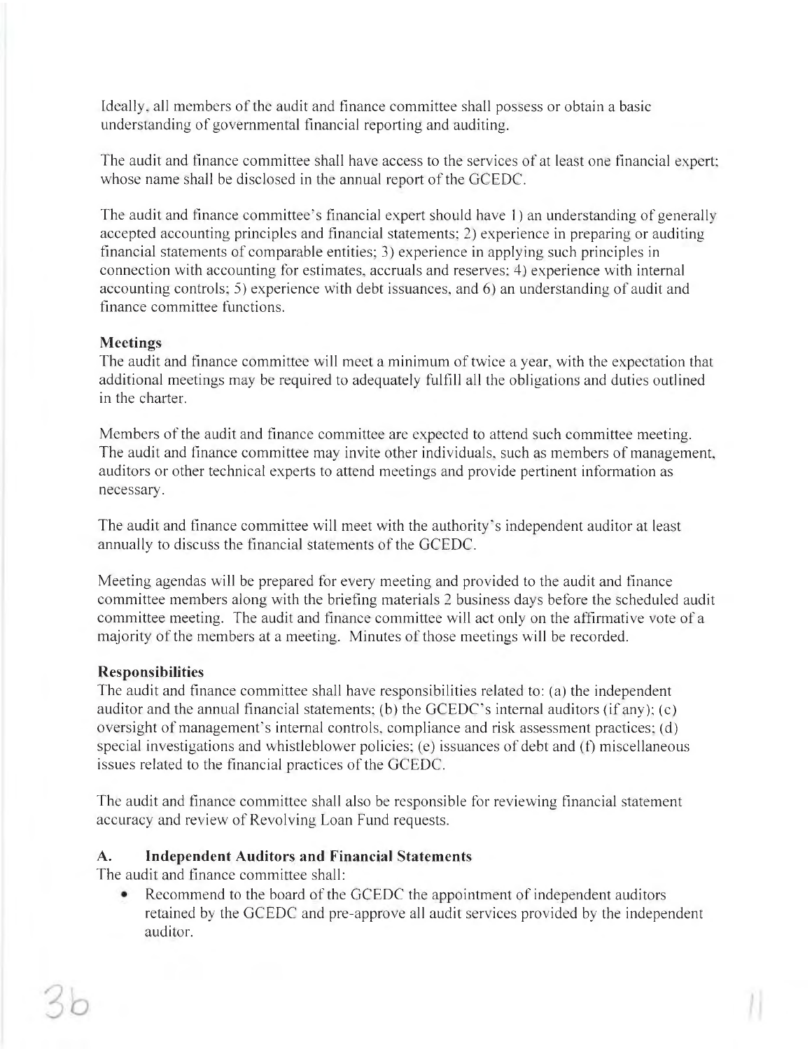Ideally, all members of the audit and finance committee shall possess or obtain a basic understanding of governmental financial reporting and auditing.

The audit and finance committee shall have access to the services of at least one financial expert; whose name shall be disclosed in the annual report of the GCEDC.

The audit and finance committee's financial expert should have 1) an understanding of generally accepted accounting principles and financial statements; 2) experience in preparing or auditing financial statements of comparable entities; 3) experience in applying such principles in connection with accounting for estimates, accruals and reserves; 4) experience with internal accounting controls; 5) experience with debt issuances, and 6) an understanding of audit and finance committee functions.

# **Meetings**

The audit and finance committee will meet a minimum of twice a year, with the expectation that additional meetings may be required to adequately fulfill all the obligations and duties outlined in the charter.

Members of the audit and finance committee are expected to attend such committee meeting. The audit and finance committee may invite other individuals, such as members of management, auditors or other technical experts to attend meetings and provide pertinent information as necessary.

The audit and finance committee will meet with the authority's independent auditor at least annually to discuss the financial statements of the GCEDC.

Meeting agendas will be prepared for every meeting and provided to the audit and finance committee members along with the briefing materials 2 business days before the scheduled audit committee meeting. The audit and finance committee will act only on the affirmative vote of a majority of the members at a meeting. Minutes of those meetings will be recorded.

# **Responsibilities**

The audit and finance committee shall have responsibilities related to: (a) the independent auditor and the annual financial statements; (b) the GCEDC's internal auditors (if any); (c) oversight of management's internal controls, compliance and risk assessment practices; (d) special investigations and whistleblower policies; (e) issuances of debt and (f) miscellaneous issues related to the financial practices of the GCEDC.

The audit and finance committee shall also be responsible for reviewing financial statement accuracy and review of Revolving Loan Fund requests.

#### **Independent Auditors and Financial Statements**  $\mathbf{A}$ .

The audit and finance committee shall:

Recommend to the board of the GCEDC the appointment of independent auditors retained by the GCEDC and pre-approve all audit services provided by the independent auditor.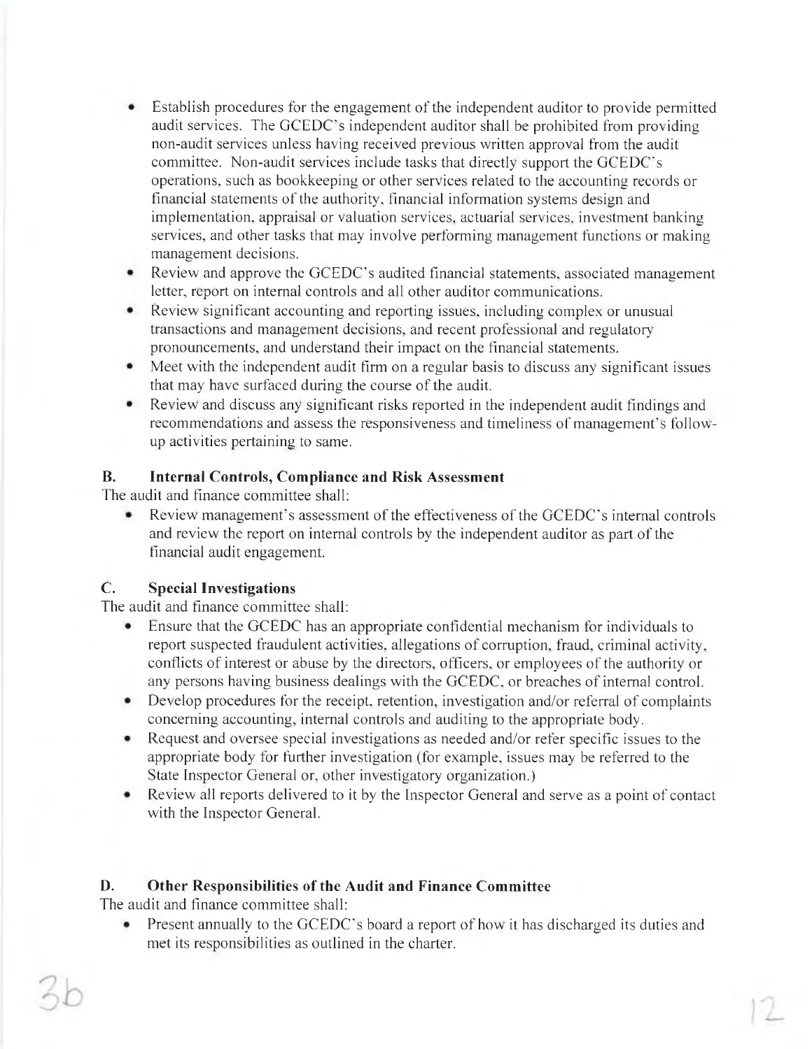- Establish procedures for the engagement of the independent auditor to provide permitted audit services. The GCEDC's independent auditor shall be prohibited from providing non-audit services unless having received previous written approval from the audit committee. Non-audit services include tasks that directly support the GCEDC's operations, such as bookkeeping or other services related to the accounting records or financial statements of the authority, financial information systems design and implementation, appraisal or valuation services, actuarial services, investment banking services, and other tasks that may involve performing management functions or making management decisions.
- Review and approve the GCEDC's audited financial statements, associated management  $\bullet$ letter, report on internal controls and all other auditor communications.
- Review significant accounting and reporting issues, including complex or unusual transactions and management decisions, and recent professional and regulatory pronouncements, and understand their impact on the financial statements.
- Meet with the independent audit firm on a regular basis to discuss any significant issues that may have surfaced during the course of the audit.
- Review and discuss any significant risks reported in the independent audit findings and recommendations and assess the responsiveness and timeliness of management's followup activities pertaining to same.

#### **B. Internal Controls, Compliance and Risk Assessment**

The audit and finance committee shall:

Review management's assessment of the effectiveness of the GCEDC's internal controls and review the report on internal controls by the independent auditor as part of the financial audit engagement.

#### $C_{\cdot}$ **Special Investigations**

The audit and finance committee shall:

- $\bullet$ Ensure that the GCEDC has an appropriate confidential mechanism for individuals to report suspected fraudulent activities, allegations of corruption, fraud, criminal activity, conflicts of interest or abuse by the directors, officers, or employees of the authority or any persons having business dealings with the GCEDC, or breaches of internal control.
- Develop procedures for the receipt, retention, investigation and/or referral of complaints concerning accounting, internal controls and auditing to the appropriate body.
- Request and oversee special investigations as needed and/or refer specific issues to the appropriate body for further investigation (for example, issues may be referred to the State Inspector General or, other investigatory organization.)
- Review all reports delivered to it by the Inspector General and serve as a point of contact  $\bullet$ with the Inspector General.

#### D. Other Responsibilities of the Audit and Finance Committee

The audit and finance committee shall:

• Present annually to the GCEDC's board a report of how it has discharged its duties and met its responsibilities as outlined in the charter.